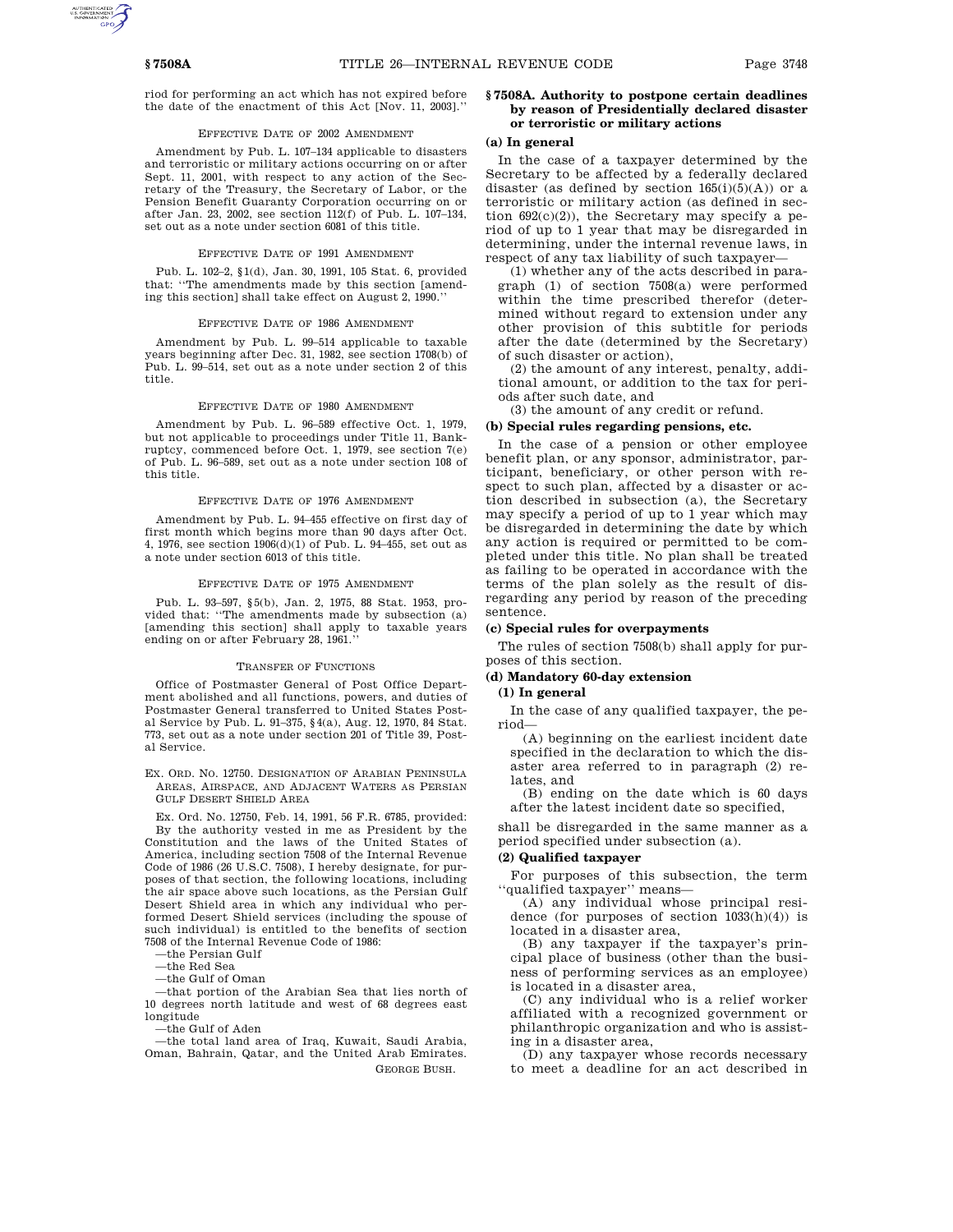riod for performing an act which has not expired before the date of the enactment of this Act [Nov. 11, 2003].''

# EFFECTIVE DATE OF 2002 AMENDMENT

Amendment by Pub. L. 107–134 applicable to disasters and terroristic or military actions occurring on or after Sept. 11, 2001, with respect to any action of the Secretary of the Treasury, the Secretary of Labor, or the Pension Benefit Guaranty Corporation occurring on or after Jan. 23, 2002, see section 112(f) of Pub. L. 107–134, set out as a note under section 6081 of this title.

## EFFECTIVE DATE OF 1991 AMENDMENT

Pub. L. 102–2, §1(d), Jan. 30, 1991, 105 Stat. 6, provided that: ''The amendments made by this section [amending this section] shall take effect on August 2, 1990.''

# EFFECTIVE DATE OF 1986 AMENDMENT

Amendment by Pub. L. 99–514 applicable to taxable years beginning after Dec. 31, 1982, see section 1708(b) of Pub. L. 99–514, set out as a note under section 2 of this title.

## EFFECTIVE DATE OF 1980 AMENDMENT

Amendment by Pub. L. 96–589 effective Oct. 1, 1979, but not applicable to proceedings under Title 11, Bankruptcy, commenced before Oct. 1, 1979, see section 7(e) of Pub. L. 96–589, set out as a note under section 108 of this title.

# EFFECTIVE DATE OF 1976 AMENDMENT

Amendment by Pub. L. 94–455 effective on first day of first month which begins more than 90 days after Oct. 4, 1976, see section 1906(d)(1) of Pub. L. 94–455, set out as a note under section 6013 of this title.

## EFFECTIVE DATE OF 1975 AMENDMENT

Pub. L. 93–597, §5(b), Jan. 2, 1975, 88 Stat. 1953, provided that: ''The amendments made by subsection (a) [amending this section] shall apply to taxable years ending on or after February 28, 1961.''

#### TRANSFER OF FUNCTIONS

Office of Postmaster General of Post Office Department abolished and all functions, powers, and duties of Postmaster General transferred to United States Postal Service by Pub. L. 91–375, §4(a), Aug. 12, 1970, 84 Stat. 773, set out as a note under section 201 of Title 39, Postal Service.

EX. ORD. NO. 12750. DESIGNATION OF ARABIAN PENINSULA AREAS, AIRSPACE, AND ADJACENT WATERS AS PERSIAN GULF DESERT SHIELD AREA

Ex. Ord. No. 12750, Feb. 14, 1991, 56 F.R. 6785, provided: By the authority vested in me as President by the Constitution and the laws of the United States of America, including section 7508 of the Internal Revenue Code of 1986 (26 U.S.C. 7508), I hereby designate, for purposes of that section, the following locations, including the air space above such locations, as the Persian Gulf Desert Shield area in which any individual who performed Desert Shield services (including the spouse of such individual) is entitled to the benefits of section 7508 of the Internal Revenue Code of 1986:

—the Persian Gulf

—the Red Sea

—the Gulf of Oman

—that portion of the Arabian Sea that lies north of 10 degrees north latitude and west of 68 degrees east longitude

—the Gulf of Aden

—the total land area of Iraq, Kuwait, Saudi Arabia, Oman, Bahrain, Qatar, and the United Arab Emirates. GEORGE BUSH.

# **§ 7508A. Authority to postpone certain deadlines by reason of Presidentially declared disaster or terroristic or military actions**

# **(a) In general**

In the case of a taxpayer determined by the Secretary to be affected by a federally declared disaster (as defined by section  $165(i)(5)(A)$ ) or a terroristic or military action (as defined in section  $692(c)(2)$ , the Secretary may specify a period of up to 1 year that may be disregarded in determining, under the internal revenue laws, in respect of any tax liability of such taxpayer—

(1) whether any of the acts described in paragraph (1) of section 7508(a) were performed within the time prescribed therefor (determined without regard to extension under any other provision of this subtitle for periods after the date (determined by the Secretary) of such disaster or action),

(2) the amount of any interest, penalty, additional amount, or addition to the tax for periods after such date, and

(3) the amount of any credit or refund.

# **(b) Special rules regarding pensions, etc.**

In the case of a pension or other employee benefit plan, or any sponsor, administrator, participant, beneficiary, or other person with respect to such plan, affected by a disaster or action described in subsection (a), the Secretary may specify a period of up to 1 year which may be disregarded in determining the date by which any action is required or permitted to be completed under this title. No plan shall be treated as failing to be operated in accordance with the terms of the plan solely as the result of disregarding any period by reason of the preceding sentence.

## **(c) Special rules for overpayments**

The rules of section 7508(b) shall apply for purposes of this section.

# **(d) Mandatory 60-day extension**

# **(1) In general**

In the case of any qualified taxpayer, the period—

(A) beginning on the earliest incident date specified in the declaration to which the disaster area referred to in paragraph (2) relates, and

(B) ending on the date which is 60 days after the latest incident date so specified,

shall be disregarded in the same manner as a period specified under subsection (a).

# **(2) Qualified taxpayer**

For purposes of this subsection, the term ''qualified taxpayer'' means—

(A) any individual whose principal residence (for purposes of section  $1033(h)(4)$ ) is located in a disaster area,

(B) any taxpayer if the taxpayer's principal place of business (other than the business of performing services as an employee) is located in a disaster area,

(C) any individual who is a relief worker affiliated with a recognized government or philanthropic organization and who is assisting in a disaster area,

(D) any taxpayer whose records necessary to meet a deadline for an act described in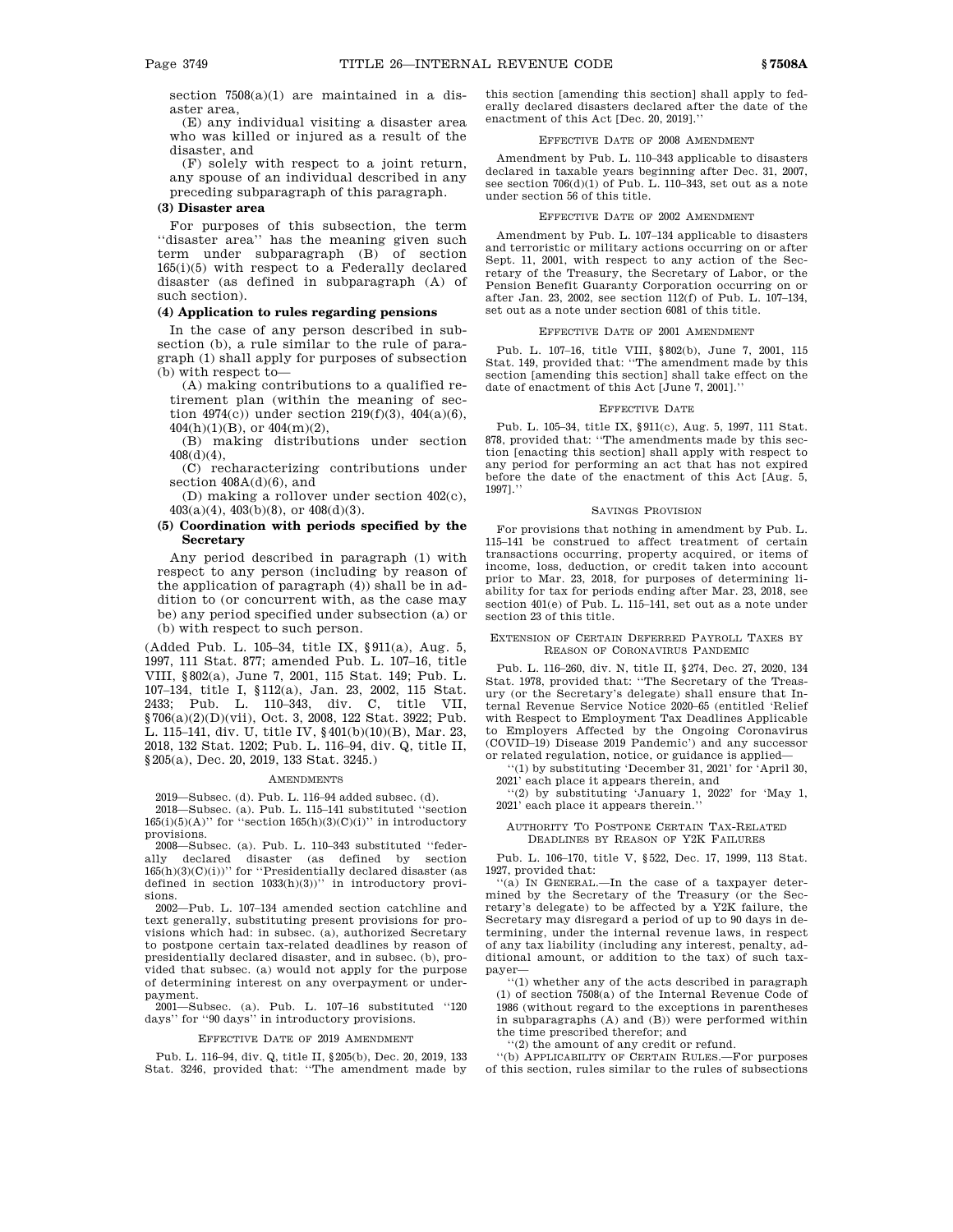section  $7508(a)(1)$  are maintained in a disaster area,

(E) any individual visiting a disaster area who was killed or injured as a result of the disaster, and

(F) solely with respect to a joint return, any spouse of an individual described in any preceding subparagraph of this paragraph.

# **(3) Disaster area**

For purposes of this subsection, the term ''disaster area'' has the meaning given such term under subparagraph (B) of section  $165(i)(5)$  with respect to a Federally declared disaster (as defined in subparagraph (A) of such section).

# **(4) Application to rules regarding pensions**

In the case of any person described in subsection (b), a rule similar to the rule of paragraph (1) shall apply for purposes of subsection (b) with respect to—

(A) making contributions to a qualified retirement plan (within the meaning of section  $4974(c)$  under section  $219(f)(3)$ ,  $404(a)(6)$ , 404(h)(1)(B), or 404(m)(2),

(B) making distributions under section 408(d)(4),

(C) recharacterizing contributions under section  $408A(d)(6)$ , and

(D) making a rollover under section 402(c), 403(a)(4), 403(b)(8), or 408(d)(3).

# **(5) Coordination with periods specified by the Secretary**

Any period described in paragraph (1) with respect to any person (including by reason of the application of paragraph (4)) shall be in addition to (or concurrent with, as the case may be) any period specified under subsection (a) or (b) with respect to such person.

(Added Pub. L. 105–34, title IX, §911(a), Aug. 5, 1997, 111 Stat. 877; amended Pub. L. 107–16, title VIII, §802(a), June 7, 2001, 115 Stat. 149; Pub. L. 107–134, title I, §112(a), Jan. 23, 2002, 115 Stat. 2433; Pub. L. 110–343, div. C, title VII, §706(a)(2)(D)(vii), Oct. 3, 2008, 122 Stat. 3922; Pub. L. 115–141, div. U, title IV, §401(b)(10)(B), Mar. 23, 2018, 132 Stat. 1202; Pub. L. 116–94, div. Q, title II, §205(a), Dec. 20, 2019, 133 Stat. 3245.)

#### AMENDMENTS

2019—Subsec. (d). Pub. L. 116–94 added subsec. (d).

2018—Subsec. (a). Pub. L. 115–141 substituted ''section  $165(i)(5)(A)$ " for "section  $165(h)(3)(C)(i)$ " in introductory provisions.

2008—Subsec. (a). Pub. L. 110–343 substituted ''federally declared disaster (as defined by section  $165(h)(3)(C)(i)$ " for "Presidentially declared disaster (as defined in section 1033(h)(3))'' in introductory provisions.

2002—Pub. L. 107–134 amended section catchline and text generally, substituting present provisions for provisions which had: in subsec. (a), authorized Secretary to postpone certain tax-related deadlines by reason of presidentially declared disaster, and in subsec. (b), provided that subsec. (a) would not apply for the purpose of determining interest on any overpayment or underpayment.

2001—Subsec. (a). Pub. L. 107–16 substituted ''120 days'' for ''90 days'' in introductory provisions.

## EFFECTIVE DATE OF 2019 AMENDMENT

Pub. L. 116–94, div. Q, title II, §205(b), Dec. 20, 2019, 133 Stat. 3246, provided that: ''The amendment made by this section [amending this section] shall apply to federally declared disasters declared after the date of the enactment of this Act [Dec. 20, 2019].''

## EFFECTIVE DATE OF 2008 AMENDMENT

Amendment by Pub. L. 110–343 applicable to disasters declared in taxable years beginning after Dec. 31, 2007, see section 706(d)(1) of Pub. L. 110–343, set out as a note under section 56 of this title.

# EFFECTIVE DATE OF 2002 AMENDMENT

Amendment by Pub. L. 107–134 applicable to disasters and terroristic or military actions occurring on or after Sept. 11, 2001, with respect to any action of the Secretary of the Treasury, the Secretary of Labor, or the Pension Benefit Guaranty Corporation occurring on or after Jan. 23, 2002, see section 112(f) of Pub. L. 107–134, set out as a note under section 6081 of this title.

# EFFECTIVE DATE OF 2001 AMENDMENT

Pub. L. 107–16, title VIII, §802(b), June 7, 2001, 115 Stat. 149, provided that: ''The amendment made by this section [amending this section] shall take effect on the date of enactment of this Act [June 7, 2001].''

## EFFECTIVE DATE

Pub. L. 105–34, title IX, §911(c), Aug. 5, 1997, 111 Stat. 878, provided that: ''The amendments made by this section [enacting this section] shall apply with respect to any period for performing an act that has not expired before the date of the enactment of this Act [Aug. 5, 1997].''

# SAVINGS PROVISION

For provisions that nothing in amendment by Pub. L. 115–141 be construed to affect treatment of certain transactions occurring, property acquired, or items of income, loss, deduction, or credit taken into account prior to Mar. 23, 2018, for purposes of determining liability for tax for periods ending after Mar. 23, 2018, see section 401(e) of Pub. L. 115–141, set out as a note under section 23 of this title.

# EXTENSION OF CERTAIN DEFERRED PAYROLL TAXES BY REASON OF CORONAVIRUS PANDEMIC

Pub. L. 116–260, div. N, title II, §274, Dec. 27, 2020, 134 Stat. 1978, provided that: ''The Secretary of the Treasury (or the Secretary's delegate) shall ensure that Internal Revenue Service Notice 2020–65 (entitled 'Relief with Respect to Employment Tax Deadlines Applicable to Employers Affected by the Ongoing Coronavirus (COVID–19) Disease 2019 Pandemic') and any successor or related regulation, notice, or guidance is applied—

''(1) by substituting 'December 31, 2021' for 'April 30, 2021' each place it appears therein, and

''(2) by substituting 'January 1, 2022' for 'May 1, 2021' each place it appears therein.''

# AUTHORITY TO POSTPONE CERTAIN TAX-RELATED DEADLINES BY REASON OF Y2K FAILURES

Pub. L. 106–170, title V, §522, Dec. 17, 1999, 113 Stat. 1927, provided that:

''(a) IN GENERAL.—In the case of a taxpayer determined by the Secretary of the Treasury (or the Secretary's delegate) to be affected by a Y2K failure, the Secretary may disregard a period of up to 90 days in determining, under the internal revenue laws, in respect of any tax liability (including any interest, penalty, additional amount, or addition to the tax) of such taxpayer—

''(1) whether any of the acts described in paragraph (1) of section 7508(a) of the Internal Revenue Code of 1986 (without regard to the exceptions in parentheses in subparagraphs (A) and (B)) were performed within the time prescribed therefor; and

''(2) the amount of any credit or refund.

''(b) APPLICABILITY OF CERTAIN RULES.—For purposes of this section, rules similar to the rules of subsections